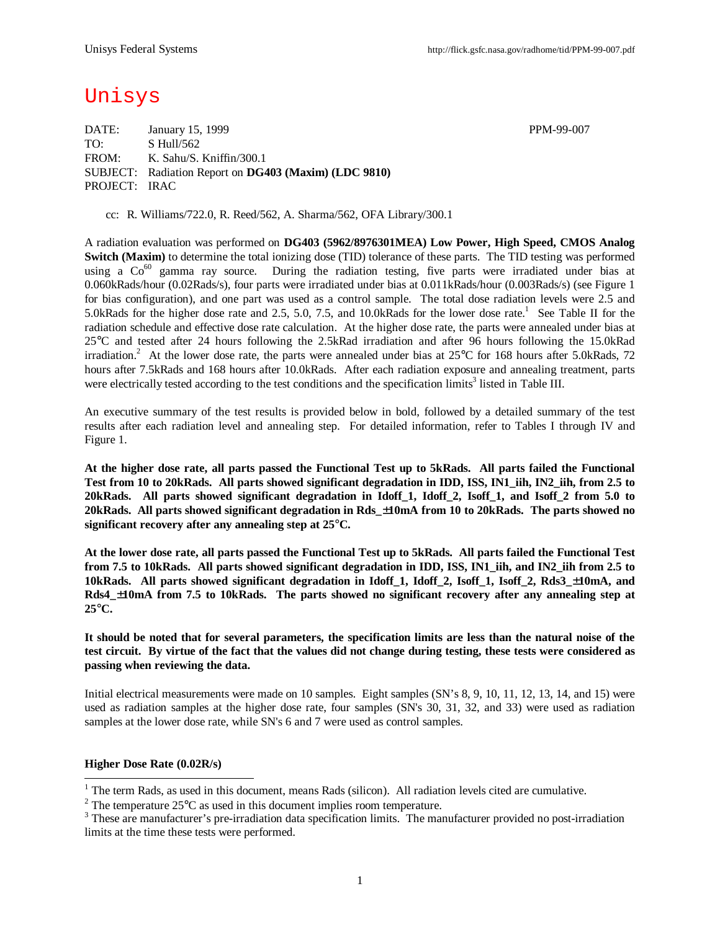# Unisys

DATE: January 15, 1999 PPM-99-007 TO: S Hull/562 FROM: K. Sahu/S. Kniffin/300.1 SUBJECT: Radiation Report on **DG403 (Maxim) (LDC 9810)** PROJECT: IRAC

cc: R. Williams/722.0, R. Reed/562, A. Sharma/562, OFA Library/300.1

A radiation evaluation was performed on **DG403 (5962/8976301MEA) Low Power, High Speed, CMOS Analog Switch (Maxim)** to determine the total ionizing dose (TID) tolerance of these parts. The TID testing was performed using a Co<sup>60</sup> gamma ray source. During the radiation testing, five parts were irradiated under bias at 0.060kRads/hour (0.02Rads/s), four parts were irradiated under bias at 0.011kRads/hour (0.003Rads/s) (see Figure 1 for bias configuration), and one part was used as a control sample. The total dose radiation levels were 2.5 and 5.0kRads for the higher dose rate and 2.5, 5.0, 7.5, and 10.0kRads for the lower dose rate.<sup>1</sup> See Table II for the radiation schedule and effective dose rate calculation. At the higher dose rate, the parts were annealed under bias at 25°C and tested after 24 hours following the 2.5kRad irradiation and after 96 hours following the 15.0kRad irradiation.<sup>2</sup> At the lower dose rate, the parts were annealed under bias at  $25^{\circ}$ C for 168 hours after 5.0kRads, 72 hours after 7.5kRads and 168 hours after 10.0kRads. After each radiation exposure and annealing treatment, parts were electrically tested according to the test conditions and the specification limits<sup>3</sup> listed in Table III.

An executive summary of the test results is provided below in bold, followed by a detailed summary of the test results after each radiation level and annealing step. For detailed information, refer to Tables I through IV and Figure 1.

**At the higher dose rate, all parts passed the Functional Test up to 5kRads. All parts failed the Functional Test from 10 to 20kRads. All parts showed significant degradation in IDD, ISS, IN1\_iih, IN2\_iih, from 2.5 to 20kRads. All parts showed significant degradation in Idoff\_1, Idoff\_2, Isoff\_1, and Isoff\_2 from 5.0 to 20kRads. All parts showed significant degradation in Rds\_±10mA from 10 to 20kRads. The parts showed no significant recovery after any annealing step at 25°C.**

**At the lower dose rate, all parts passed the Functional Test up to 5kRads. All parts failed the Functional Test from 7.5 to 10kRads. All parts showed significant degradation in IDD, ISS, IN1\_iih, and IN2\_iih from 2.5 to 10kRads. All parts showed significant degradation in Idoff\_1, Idoff\_2, Isoff\_1, Isoff\_2, Rds3\_±10mA, and Rds4\_±10mA from 7.5 to 10kRads. The parts showed no significant recovery after any annealing step at 25°C.**

**It should be noted that for several parameters, the specification limits are less than the natural noise of the test circuit. By virtue of the fact that the values did not change during testing, these tests were considered as passing when reviewing the data.**

Initial electrical measurements were made on 10 samples. Eight samples (SN's 8, 9, 10, 11, 12, 13, 14, and 15) were used as radiation samples at the higher dose rate, four samples (SN's 30, 31, 32, and 33) were used as radiation samples at the lower dose rate, while SN's 6 and 7 were used as control samples.

#### **Higher Dose Rate (0.02R/s)**

<sup>&</sup>lt;sup>1</sup> The term Rads, as used in this document, means Rads (silicon). All radiation levels cited are cumulative.

<sup>&</sup>lt;sup>2</sup> The temperature  $25^{\circ}$ C as used in this document implies room temperature.

 $3$  These are manufacturer's pre-irradiation data specification limits. The manufacturer provided no post-irradiation limits at the time these tests were performed.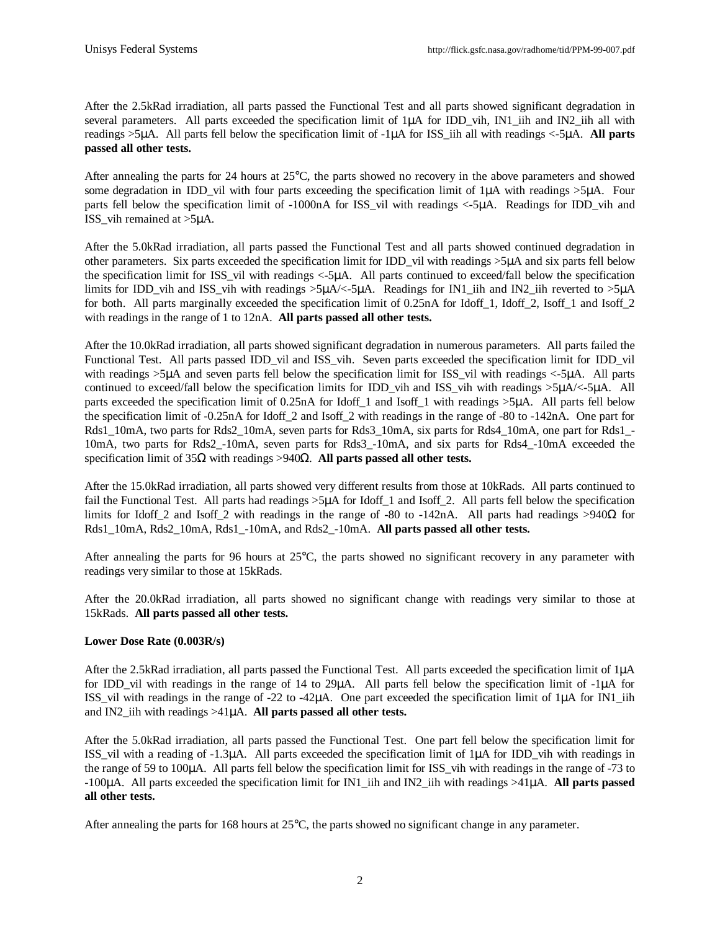After the 2.5kRad irradiation, all parts passed the Functional Test and all parts showed significant degradation in several parameters. All parts exceeded the specification limit of  $1\mu A$  for IDD vih, IN1 iih and IN2 iih all with readings >5μA. All parts fell below the specification limit of -1μA for ISS\_iih all with readings <-5μA. **All parts passed all other tests.**

After annealing the parts for 24 hours at 25°C, the parts showed no recovery in the above parameters and showed some degradation in IDD\_vil with four parts exceeding the specification limit of 1μA with readings >5μA. Four parts fell below the specification limit of -1000nA for ISS\_vil with readings <-5μA. Readings for IDD\_vih and ISS\_vih remained at >5μA.

After the 5.0kRad irradiation, all parts passed the Functional Test and all parts showed continued degradation in other parameters. Six parts exceeded the specification limit for IDD vil with readings  $>5\mu A$  and six parts fell below the specification limit for ISS\_vil with readings <-5μA. All parts continued to exceed/fall below the specification limits for IDD\_vih and ISS\_vih with readings >5μA/<-5μA. Readings for IN1\_iih and IN2\_iih reverted to >5μA for both. All parts marginally exceeded the specification limit of 0.25nA for Idoff 1, Idoff 2, Isoff 1 and Isoff 2 with readings in the range of 1 to 12nA. **All parts passed all other tests.**

After the 10.0kRad irradiation, all parts showed significant degradation in numerous parameters. All parts failed the Functional Test. All parts passed IDD vil and ISS vih. Seven parts exceeded the specification limit for IDD vil with readings >5μA and seven parts fell below the specification limit for ISS\_vil with readings <-5μA. All parts continued to exceed/fall below the specification limits for IDD\_vih and ISS\_vih with readings >5μA/<-5μA. All parts exceeded the specification limit of 0.25nA for Idoff\_1 and Isoff\_1 with readings >5μA. All parts fell below the specification limit of -0.25nA for Idoff\_2 and Isoff\_2 with readings in the range of -80 to -142nA. One part for Rds1\_10mA, two parts for Rds2\_10mA, seven parts for Rds3\_10mA, six parts for Rds4\_10mA, one part for Rds1\_-10mA, two parts for Rds2\_-10mA, seven parts for Rds3\_-10mA, and six parts for Rds4\_-10mA exceeded the specification limit of 35Ω with readings >940Ω. **All parts passed all other tests.**

After the 15.0kRad irradiation, all parts showed very different results from those at 10kRads. All parts continued to fail the Functional Test. All parts had readings  $>5\mu A$  for Idoff 1 and Isoff 2. All parts fell below the specification limits for Idoff 2 and Isoff 2 with readings in the range of -80 to -142nA. All parts had readings >940Ω for Rds1\_10mA, Rds2\_10mA, Rds1\_-10mA, and Rds2\_-10mA. **All parts passed all other tests.**

After annealing the parts for 96 hours at 25°C, the parts showed no significant recovery in any parameter with readings very similar to those at 15kRads.

After the 20.0kRad irradiation, all parts showed no significant change with readings very similar to those at 15kRads. **All parts passed all other tests.**

## **Lower Dose Rate (0.003R/s)**

After the 2.5kRad irradiation, all parts passed the Functional Test. All parts exceeded the specification limit of 1μA for IDD\_vil with readings in the range of 14 to 29μA. All parts fell below the specification limit of -1μA for ISS\_vil with readings in the range of -22 to -42μA. One part exceeded the specification limit of 1μA for IN1\_iih and IN2\_iih with readings >41μA. **All parts passed all other tests.**

After the 5.0kRad irradiation, all parts passed the Functional Test. One part fell below the specification limit for ISS\_vil with a reading of -1.3μA. All parts exceeded the specification limit of 1μA for IDD\_vih with readings in the range of 59 to 100μA. All parts fell below the specification limit for ISS\_vih with readings in the range of -73 to -100μA. All parts exceeded the specification limit for IN1\_iih and IN2\_iih with readings >41μA. **All parts passed all other tests.**

After annealing the parts for 168 hours at 25°C, the parts showed no significant change in any parameter.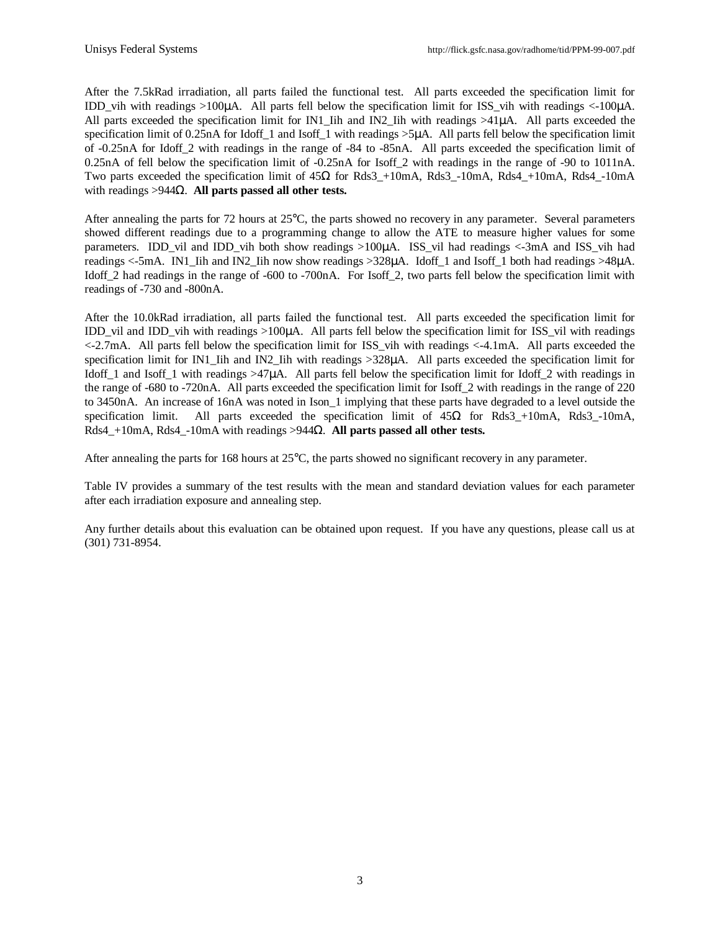After the 7.5kRad irradiation, all parts failed the functional test. All parts exceeded the specification limit for IDD vih with readings  $>100\mu$ A. All parts fell below the specification limit for ISS vih with readings  $<100\mu$ A. All parts exceeded the specification limit for IN1\_Iih and IN2\_Iih with readings >41μA. All parts exceeded the specification limit of 0.25nA for Idoff\_1 and Isoff\_1 with readings >5μA. All parts fell below the specification limit of -0.25nA for Idoff\_2 with readings in the range of -84 to -85nA. All parts exceeded the specification limit of 0.25nA of fell below the specification limit of -0.25nA for Isoff 2 with readings in the range of -90 to 1011nA. Two parts exceeded the specification limit of  $45\Omega$  for Rds3 +10mA, Rds3 -10mA, Rds4 +10mA, Rds4 -10mA with readings >944Ω. **All parts passed all other tests.**

After annealing the parts for 72 hours at 25°C, the parts showed no recovery in any parameter. Several parameters showed different readings due to a programming change to allow the ATE to measure higher values for some parameters. IDD vil and IDD vih both show readings  $>100\mu$ A. ISS vil had readings  $<-3m$ A and ISS vih had readings <-5mA. IN1\_Iih and IN2\_Iih now show readings >328μA. Idoff\_1 and Isoff\_1 both had readings >48μA. Idoff 2 had readings in the range of -600 to -700nA. For Isoff 2, two parts fell below the specification limit with readings of -730 and -800nA.

After the 10.0kRad irradiation, all parts failed the functional test. All parts exceeded the specification limit for IDD vil and IDD vih with readings  $>100\mu$ A. All parts fell below the specification limit for ISS vil with readings <-2.7mA. All parts fell below the specification limit for ISS\_vih with readings <-4.1mA. All parts exceeded the specification limit for IN1. Iih and IN2. Iih with readings >328μA. All parts exceeded the specification limit for Idoff\_1 and Isoff\_1 with readings >47μA. All parts fell below the specification limit for Idoff\_2 with readings in the range of -680 to -720nA. All parts exceeded the specification limit for Isoff\_2 with readings in the range of 220 to 3450nA. An increase of 16nA was noted in Ison\_1 implying that these parts have degraded to a level outside the specification limit. All parts exceeded the specification limit of  $45\Omega$  for Rds3 +10mA, Rds3 -10mA, Rds4\_+10mA, Rds4\_-10mA with readings >944Ω. **All parts passed all other tests.**

After annealing the parts for 168 hours at 25°C, the parts showed no significant recovery in any parameter.

Table IV provides a summary of the test results with the mean and standard deviation values for each parameter after each irradiation exposure and annealing step.

Any further details about this evaluation can be obtained upon request. If you have any questions, please call us at (301) 731-8954.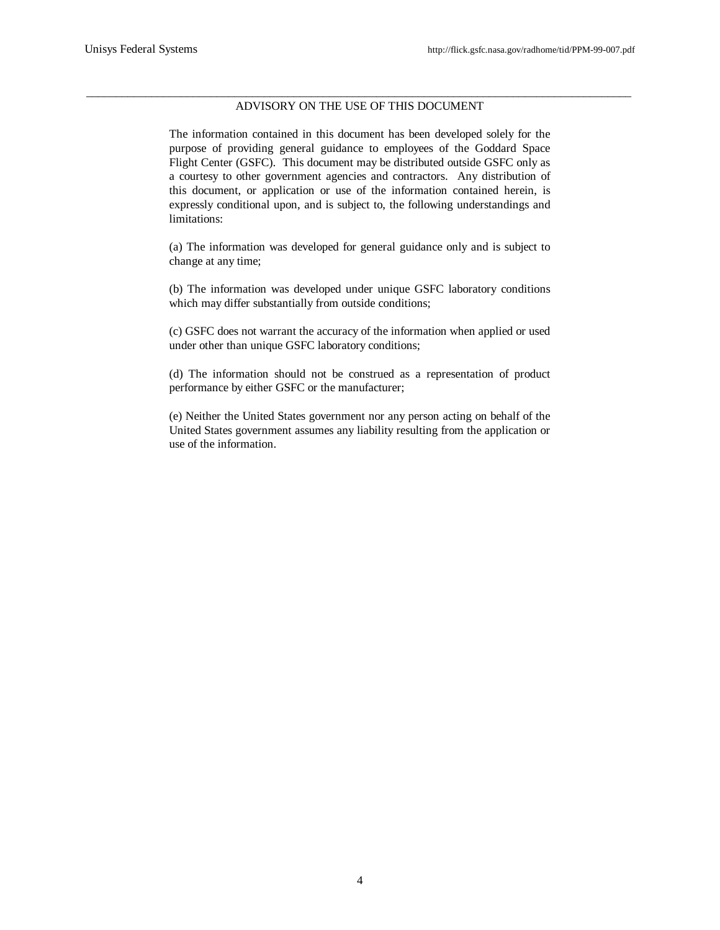#### \_\_\_\_\_\_\_\_\_\_\_\_\_\_\_\_\_\_\_\_\_\_\_\_\_\_\_\_\_\_\_\_\_\_\_\_\_\_\_\_\_\_\_\_\_\_\_\_\_\_\_\_\_\_\_\_\_\_\_\_\_\_\_\_\_\_\_\_\_\_\_\_\_\_\_\_\_\_\_\_\_\_\_\_\_\_\_\_\_\_\_\_ ADVISORY ON THE USE OF THIS DOCUMENT

The information contained in this document has been developed solely for the purpose of providing general guidance to employees of the Goddard Space Flight Center (GSFC). This document may be distributed outside GSFC only as a courtesy to other government agencies and contractors. Any distribution of this document, or application or use of the information contained herein, is expressly conditional upon, and is subject to, the following understandings and limitations:

(a) The information was developed for general guidance only and is subject to change at any time;

(b) The information was developed under unique GSFC laboratory conditions which may differ substantially from outside conditions;

(c) GSFC does not warrant the accuracy of the information when applied or used under other than unique GSFC laboratory conditions;

(d) The information should not be construed as a representation of product performance by either GSFC or the manufacturer;

(e) Neither the United States government nor any person acting on behalf of the United States government assumes any liability resulting from the application or use of the information.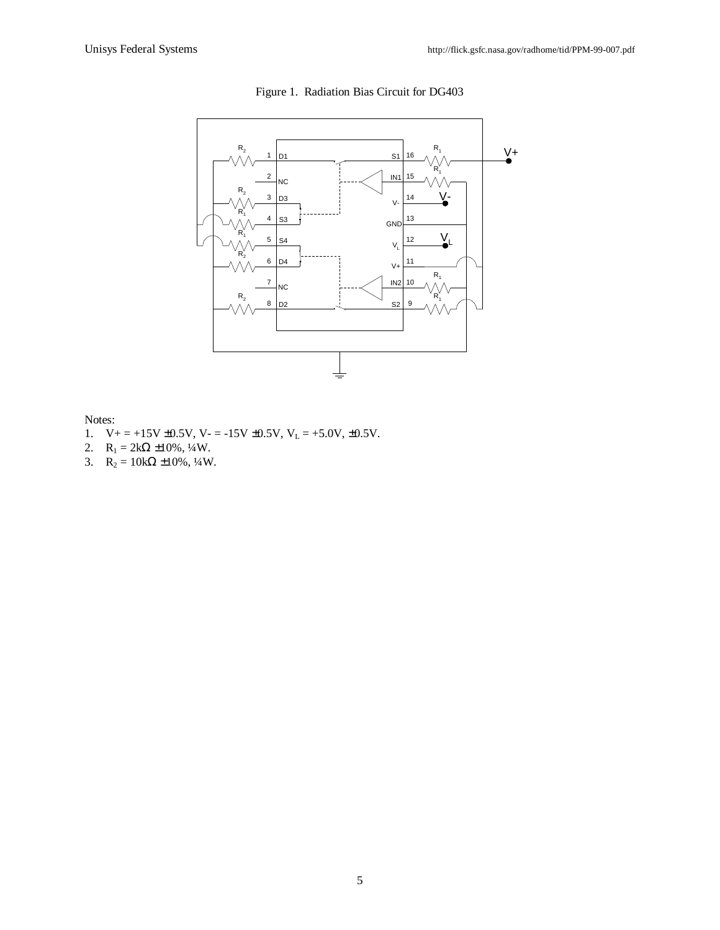

Figure 1. Radiation Bias Circuit for DG403

Notes:

- 1.  $V_+ = +15V \pm 0.5V$ ,  $V_- = -15V \pm 0.5V$ ,  $V_L = +5.0V$ ,  $\pm 0.5V$ .
- 2.  $R_1 = 2k\Omega \pm 10\%, \frac{1}{4}W$ .
- 3.  $R_2 = 10k\Omega \pm 10\%, \frac{1}{4}W$ .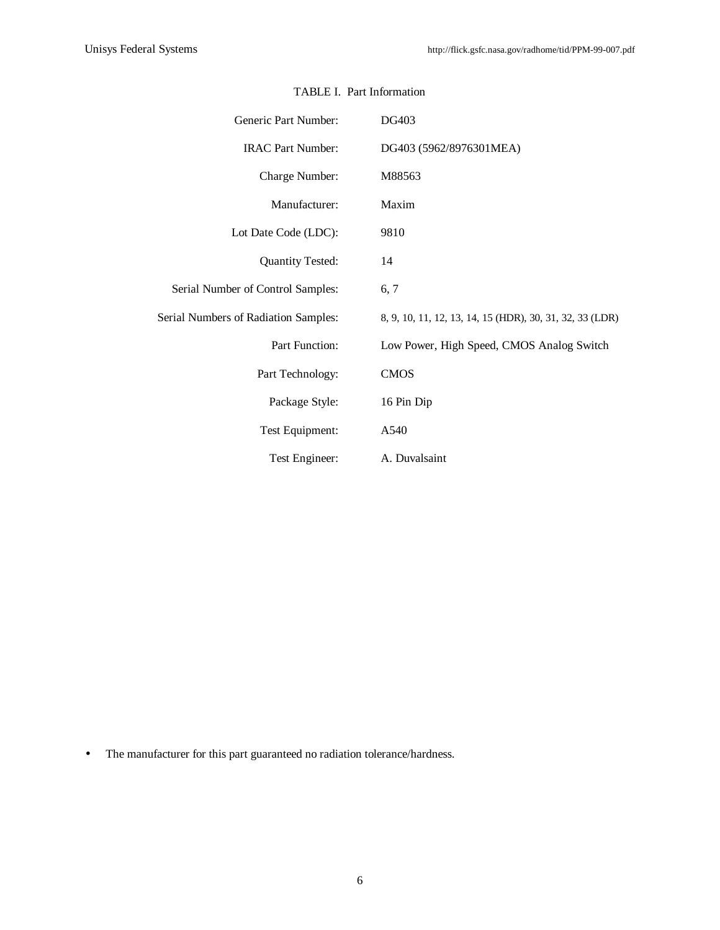| Generic Part Number:                 | <b>DG403</b>                                             |
|--------------------------------------|----------------------------------------------------------|
| <b>IRAC Part Number:</b>             | DG403 (5962/8976301MEA)                                  |
| Charge Number:                       | M88563                                                   |
| Manufacturer:                        | Maxim                                                    |
| Lot Date Code (LDC):                 | 9810                                                     |
| <b>Quantity Tested:</b>              | 14                                                       |
| Serial Number of Control Samples:    | 6, 7                                                     |
| Serial Numbers of Radiation Samples: | 8, 9, 10, 11, 12, 13, 14, 15 (HDR), 30, 31, 32, 33 (LDR) |
| Part Function:                       | Low Power, High Speed, CMOS Analog Switch                |
| Part Technology:                     | <b>CMOS</b>                                              |
| Package Style:                       | 16 Pin Dip                                               |
| Test Equipment:                      | A540                                                     |
| Test Engineer:                       | A. Duvalsaint                                            |

## TABLE I. Part Information

• The manufacturer for this part guaranteed no radiation tolerance/hardness.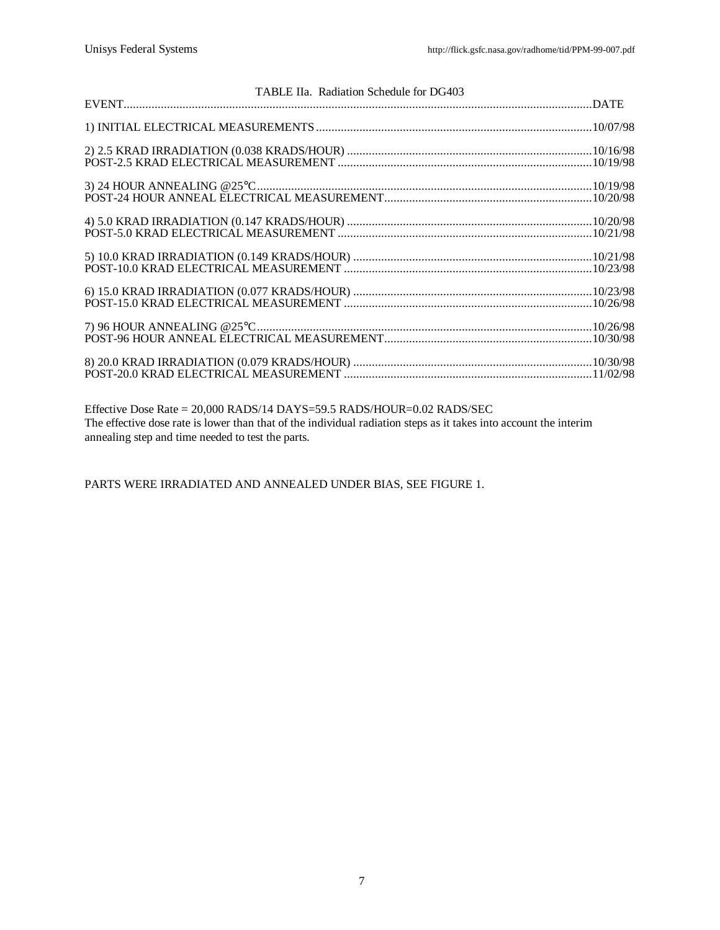| TABLE IIa. Radiation Schedule for DG403 |  |
|-----------------------------------------|--|
|                                         |  |
|                                         |  |
|                                         |  |
|                                         |  |
|                                         |  |
|                                         |  |
|                                         |  |
|                                         |  |
|                                         |  |

Effective Dose Rate = 20,000 RADS/14 DAYS=59.5 RADS/HOUR=0.02 RADS/SEC The effective dose rate is lower than that of the individual radiation steps as it takes into account the interim annealing step and time needed to test the parts.

PARTS WERE IRRADIATED AND ANNEALED UNDER BIAS, SEE FIGURE 1.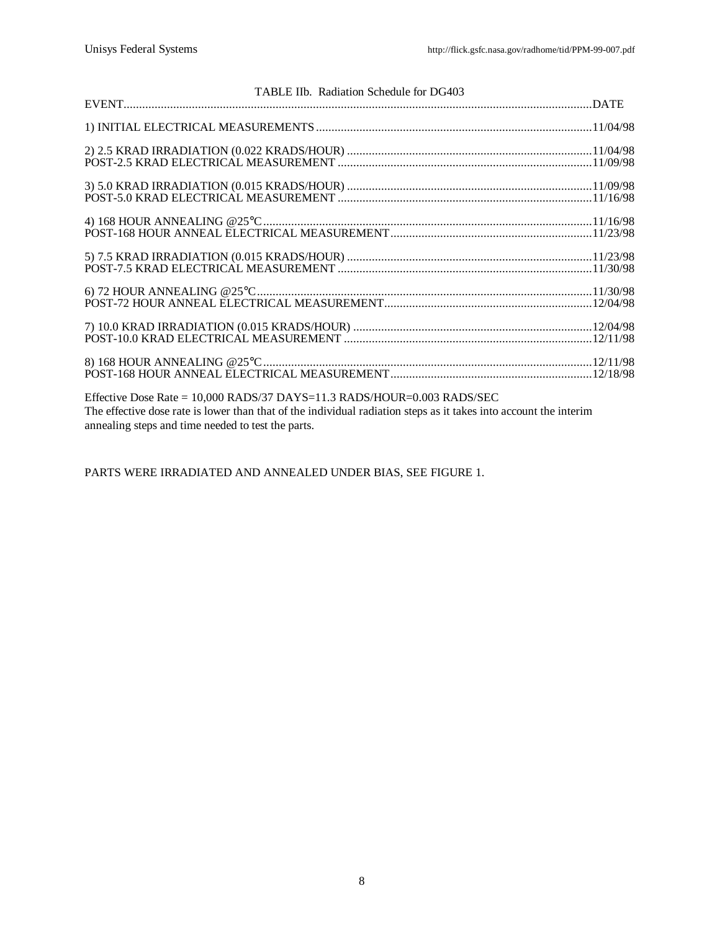| TABLE IIb. Radiation Schedule for DG403                                         |  |
|---------------------------------------------------------------------------------|--|
|                                                                                 |  |
|                                                                                 |  |
|                                                                                 |  |
|                                                                                 |  |
|                                                                                 |  |
|                                                                                 |  |
|                                                                                 |  |
|                                                                                 |  |
|                                                                                 |  |
|                                                                                 |  |
|                                                                                 |  |
|                                                                                 |  |
|                                                                                 |  |
|                                                                                 |  |
|                                                                                 |  |
|                                                                                 |  |
| Effective Dose Rate = $10,000$ RADS/37 DAYS= $11.3$ RADS/HOUR= $0.003$ RADS/SEC |  |

The effective dose rate is lower than that of the individual radiation steps as it takes into account the interim annealing steps and time needed to test the parts.

PARTS WERE IRRADIATED AND ANNEALED UNDER BIAS, SEE FIGURE 1.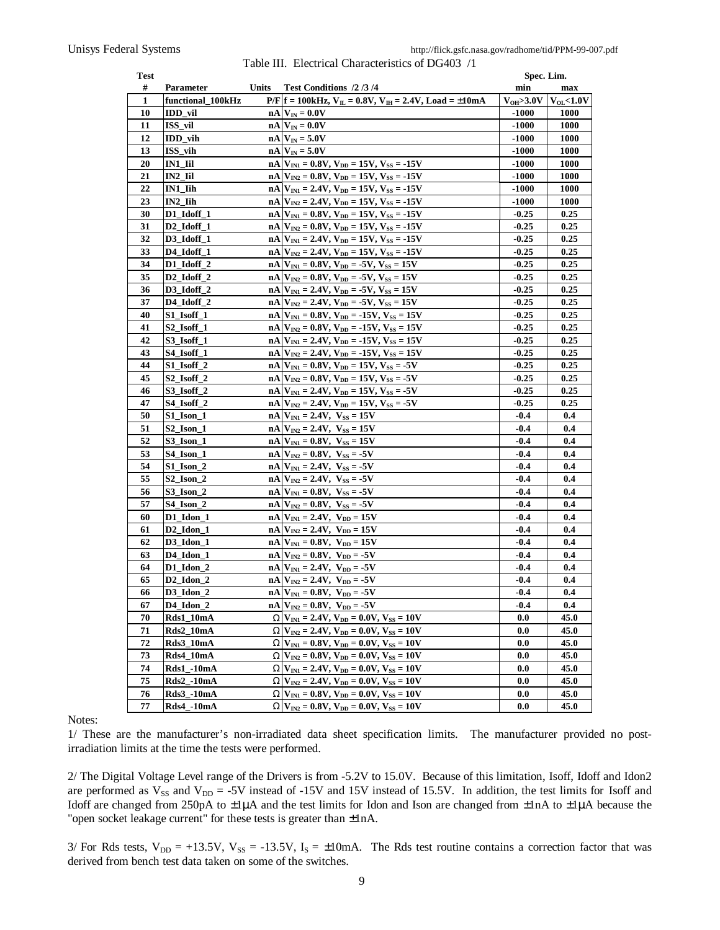| Test     |                                  |       |                                                                                                  | Spec. Lim.       |                |
|----------|----------------------------------|-------|--------------------------------------------------------------------------------------------------|------------------|----------------|
| #        | Parameter                        | Units | Test Conditions /2/3/4                                                                           | min              | max            |
| 1        | functional_100kHz                |       | $P/F   f = 100kHz, VIL = 0.8V, VIH = 2.4V, Load = ±10mA$                                         | $V_{OH}>3.0V$    | $V_{OL}$ <1.0V |
| 10       | IDD_vil                          |       | $nA$ $V_{IN} = 0.0V$                                                                             | $-1000$          | <b>1000</b>    |
| 11       | ISS_vil                          |       | n<br>A $\mathbf{V}_\mathrm{IN} = 0.0\mathbf{V}$                                                  | $-1000$          | <b>1000</b>    |
| 12       | $IDD_$ ih                        |       | $nA$ $V_{IN} = 5.0V$                                                                             | $-1000$          | 1000           |
| 13       | $ISS$ <sub>vih</sub>             |       | $nA$ $V_{IN} = 5.0V$                                                                             | $-1000$          | <b>1000</b>    |
| 20       | IN1_Iil                          |       | $nA$ $V_{IN1} = 0.8V$ , $V_{DD} = 15V$ , $V_{SS} = -15V$                                         | $-1000$          | <b>1000</b>    |
| 21       | IN2_Iil                          |       | $nA V_{IN2} = 0.8V, V_{DD} = 15V, V_{SS} = -15V$                                                 | $-1000$          | <b>1000</b>    |
| 22       | $IN1$ $I$ ih                     |       | $nA$ $V_{N1} = 2.4V$ , $V_{DD} = 15V$ , $V_{SS} = -15V$                                          | $-1000$          | <b>1000</b>    |
| 23       | IN2 Iih                          |       | $nA$ $V_{N2} = 2.4V$ , $V_{DD} = 15V$ , $V_{SS} = -15V$                                          | $-1000$          | 1000           |
| 30       | D1_Idoff_1                       |       | $nA$ $V_{IN1} = 0.8V, V_{DD} = 15V, V_{SS} = -15V$                                               | $-0.25$          | 0.25           |
| 31       | D <sub>2</sub> _Idoff_1          |       | $nA V_{IN2} = 0.8V, V_{DD} = 15V, V_{SS} = -15V$                                                 | $-0.25$          | 0.25           |
| 32       | D3_Idoff_1                       |       | $nA$ $V_{N1} = 2.4V$ , $V_{DD} = 15V$ , $V_{SS} = -15V$                                          | $-0.25$          | 0.25           |
| 33       | D4_Idoff_1                       |       | $nA V_{IN2} = 2.4V, V_{DD} = 15V, V_{SS} = -15V$                                                 | $-0.25$          | 0.25           |
| 34       | D1_Idoff_2                       |       | $nA$ $V_{N1} = 0.8V$ , $V_{DD} = -5V$ , $V_{SS} = 15V$                                           | $-0.25$          | 0.25           |
| 35       | $D2$ _Idoff_2                    |       | $nA$ $V_{N2} = 0.8V$ , $V_{DD} = -5V$ , $V_{SS} = 15V$                                           | $-0.25$          | 0.25           |
| 36       | D3_Idoff_2                       |       | $nA$ $V_{N1} = 2.4V$ , $V_{DD} = -5V$ , $V_{SS} = 15V$                                           | $-0.25$          | 0.25           |
| 37       | D4_Idoff_2                       |       | $nA$ $V_{IN2} = 2.4V$ , $V_{DD} = -5V$ , $V_{SS} = 15V$                                          | $-0.25$          | 0.25           |
| 40       | $S1$ Isoff 1                     |       | $nA$ $V_{N1} = 0.8V$ , $V_{DD} = -15V$ , $V_{SS} = 15V$                                          | $-0.25$          | 0.25           |
| 41       | S2_Isoff_1                       |       | $nA$ $V_{IN2} = 0.8V$ , $V_{DD} = -15V$ , $V_{SS} = 15V$                                         | $-0.25$          | 0.25           |
| 42       | S3_Isoff_1                       |       | $nA$ $V_{N1} = 2.4V$ , $V_{DD} = -15V$ , $V_{SS} = 15V$                                          | $-0.25$          | 0.25           |
| 43       | S4_Isoff_1                       |       | $nA$ $V_{IN2} = 2.4V$ , $V_{DD} = -15V$ , $V_{SS} = 15V$                                         | $-0.25$          | 0.25           |
| 44       | S1 Isoff 2                       |       | $nA$ $V_{N1} = 0.8V$ , $V_{DD} = 15V$ , $V_{SS} = -5V$                                           | $-0.25$          | 0.25           |
| 45       | $S2$ _Isoff_2                    |       | $nA$ $V_{IN2} = 0.8V$ , $V_{DD} = 15V$ , $V_{SS} = -5V$                                          | $-0.25$          | 0.25           |
| 46       | $S3$ Isoff 2                     |       | $nA$ $V_{N1} = 2.4V$ , $V_{DD} = 15V$ , $V_{SS} = -5V$                                           | $-0.25$          | 0.25           |
| 47       | S4 Isoff 2                       |       |                                                                                                  | $-0.25$          | 0.25           |
| 50       | $S1$ Ison 1                      |       | $nA$ $V_{IN2} = 2.4V$ , $V_{DD} = 15V$ , $V_{SS} = -5V$<br>$nA$ $V_{N1} = 2.4V$ , $V_{SS} = 15V$ | $-0.4$           | 0.4            |
| 51       | $S2$ Ison 1                      |       | $nA$ $V_{IN2} = 2.4V$ , $V_{SS} = 15V$                                                           | $-0.4$           | 0.4            |
| 52       | $S3$ Ison 1                      |       | $nA$ $V_{N1} = 0.8V$ , $V_{SS} = 15V$                                                            | $-0.4$           | 0.4            |
| 53       | S4_Ison_1                        |       | $nA$ $V_{IN2} = 0.8V$ , $V_{SS} = -5V$                                                           | $-0.4$           | 0.4            |
| 54       |                                  |       |                                                                                                  | $-0.4$           | 0.4            |
| 55       | $S1$ Ison 2<br>$S2$ Ison 2       |       | $nA$ $V_{N1} = 2.4V$ , $V_{SS} = -5V$                                                            | $-0.4$           | 0.4            |
| 56       | $S3$ Ison 2                      |       | $nA V_{IN2} = 2.4V, V_{SS} = -5V$                                                                | $-0.4$           | 0.4            |
| 57       |                                  |       | $nA$ $V_{N1} = 0.8V$ , $V_{SS} = -5V$<br>$nA$ $V_{IN2} = 0.8V$ , $V_{SS} = -5V$                  | $-0.4$           | 0.4            |
| 60       | $S4$ Ison 2                      |       |                                                                                                  |                  | 0.4            |
|          | $D1$ $Idon_1$                    |       | $nA V_{N1} = 2.4V$ , $V_{DD} = 15V$                                                              | $-0.4$           |                |
| 61<br>62 | $D2$ _Idon_1<br>$D3$ Idon 1      |       | $nA$ $V_{IN2} = 2.4V$ , $V_{DD} = 15V$<br>$nA$ $V_{IN1} = 0.8V$ , $V_{DD} = 15V$                 | $-0.4$<br>$-0.4$ | 0.4<br>0.4     |
|          | D4 Idon 1                        |       |                                                                                                  |                  |                |
| 63       |                                  |       | $nA$ $V_{N2} = 0.8V$ , $V_{DD} = -5V$<br>$nA$ V <sub>IN1</sub> = 2.4V, V <sub>DD</sub> = -5V     | $-0.4$           | 0.4            |
| 64       | $D1$ Idon 2                      |       |                                                                                                  | $-0.4$           | 0.4            |
| 65       | D <sub>2</sub> Idon <sub>2</sub> |       | $nA$ $V_{IN2} = 2.4V$ , $V_{DD} = -5V$                                                           | $-0.4$           | 0.4            |
| 66       | $D3$ Idon 2                      |       | $nA$ $V_{N1} = 0.8V$ , $V_{DD} = -5V$                                                            | $-0.4$           | 0.4            |
| 67       | D4 Idon 2                        |       | $nA$ $V_{IN2} = 0.8V$ , $V_{DD} = -5V$                                                           | $-0.4$           | 0.4            |
| 70       | Rds1_10mA                        |       | $W V_{IN1} = 2.4V, V_{DD} = 0.0V, V_{SS} = 10V$                                                  | 0.0              | 45.0           |
| 71       | Rds2_10mA                        |       | $W V_{IN2} = 2.4V, V_{DD} = 0.0V, V_{SS} = 10V$                                                  | 0.0              | 45.0           |
| 72       | Rds3_10mA                        |       | $W V_{IN1} = 0.8V, V_{DD} = 0.0V, V_{SS} = 10V$                                                  | 0.0              | 45.0           |
| 73       | Rds4_10mA                        |       | $W V_{IN2} = 0.8V, V_{DD} = 0.0V, V_{SS} = 10V$                                                  | 0.0              | 45.0           |
| 74       | Rds1_-10mA                       |       | $W V_{IN1} = 2.4V, V_{DD} = 0.0V, V_{SS} = 10V$                                                  | 0.0              | 45.0           |
| 75       | Rds2_-10mA                       |       | $W V_{IN2} = 2.4V, V_{DD} = 0.0V, V_{SS} = 10V$                                                  | 0.0              | 45.0           |
| 76       | <b>Rds3_-10mA</b>                |       | $W V_{IN1} = 0.8V, V_{DD} = 0.0V, V_{SS} = 10V$                                                  | 0.0              | 45.0           |
| 77       | <b>Rds4_-10mA</b>                |       | $W V_{IN2} = 0.8V, V_{DD} = 0.0V, V_{SS} = 10V$                                                  | 0.0              | 45.0           |

Table III. Electrical Characteristics of DG403 /1

Notes:

1/ These are the manufacturer's non-irradiated data sheet specification limits. The manufacturer provided no postirradiation limits at the time the tests were performed.

2/ The Digital Voltage Level range of the Drivers is from -5.2V to 15.0V. Because of this limitation, Isoff, Idoff and Idon2 are performed as  $V_{SS}$  and  $V_{DD} = -5V$  instead of  $-15V$  and  $15V$  instead of  $15.5V$ . In addition, the test limits for Isoff and Idoff are changed from 250pA to  $\pm 1\mu$ A and the test limits for Idon and Ison are changed from  $\pm 1\mu$ A to  $\pm 1\mu$ A because the "open socket leakage current" for these tests is greater than ±1nA.

3/ For Rds tests,  $V_{DD} = +13.5V$ ,  $V_{SS} = -13.5V$ ,  $I_S = \pm 10$ mA. The Rds test routine contains a correction factor that was derived from bench test data taken on some of the switches.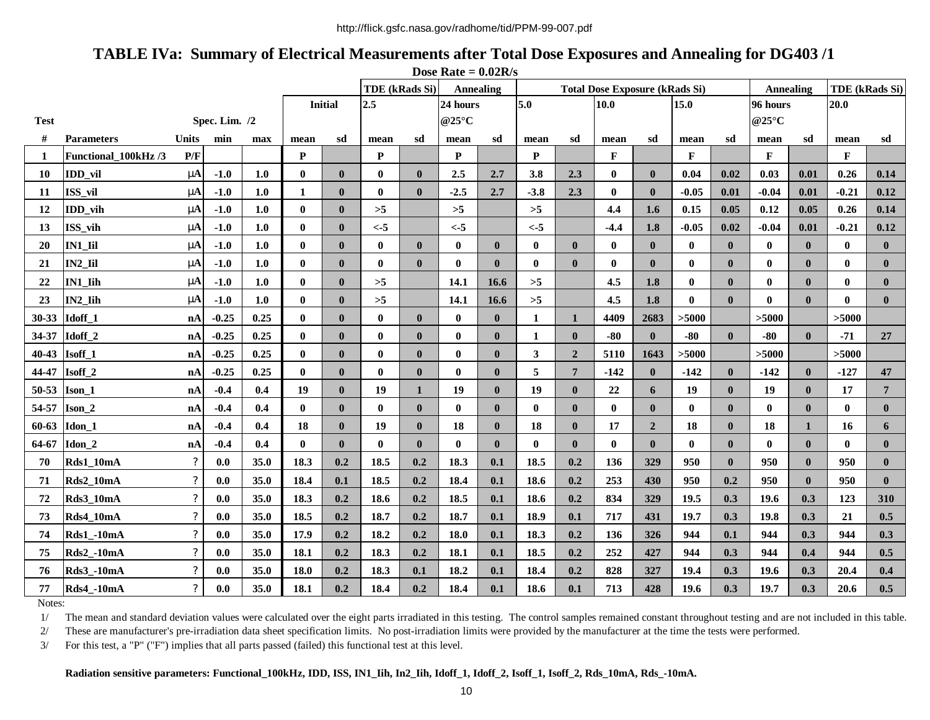# **TABLE IVa: Summary of Electrical Measurements after Total Dose Exposures and Annealing for DG403 /1**

| Dose Rate = $0.02R/s$ |                     |                            |               |      |              |                |                |                       |                  |              |                          |                  |                                       |                |              |              |                          |              |                |                |
|-----------------------|---------------------|----------------------------|---------------|------|--------------|----------------|----------------|-----------------------|------------------|--------------|--------------------------|------------------|---------------------------------------|----------------|--------------|--------------|--------------------------|--------------|----------------|----------------|
|                       |                     |                            |               |      |              |                |                | <b>TDE</b> (kRads Si) | <b>Annealing</b> |              |                          |                  | <b>Total Dose Exposure (kRads Si)</b> |                |              |              | <b>Annealing</b>         |              | TDE (kRads Si) |                |
|                       |                     |                            |               |      |              | <b>Initial</b> | 2.5            |                       |                  | 24 hours     |                          | 5.0              |                                       | 10.0           |              |              | 96 hours                 |              | 20.0           |                |
| <b>Test</b>           |                     |                            | Spec. Lim. /2 |      |              |                |                |                       |                  | @25°C        |                          |                  |                                       |                |              |              | @25 $\mathrm{^{\circ}C}$ |              |                |                |
| #                     | <b>Parameters</b>   | Units                      | min           | max  | mean         | sd             | mean           | sd                    | mean             | sd           | sd<br>sd<br>mean<br>mean |                  |                                       | mean           | sd           | sd<br>mean   |                          | sd<br>mean   |                |                |
| -1                    | Functional 100kHz/3 | P/F                        |               |      | $\mathbf{P}$ |                | $\mathbf{P}$   |                       | $\mathbf{P}$     |              | P                        |                  | $\mathbf{F}$                          |                | $\mathbf{F}$ |              | $\mathbf{F}$             |              | $\mathbf{F}$   |                |
| <b>10</b>             | IDD vil             | mA                         | $-1.0$        | 1.0  | $\bf{0}$     | $\mathbf{0}$   | $\bf{0}$       | $\bf{0}$              | 2.5              | 2.7          | 3.8                      | 2.3              | $\mathbf{0}$                          | $\mathbf{0}$   | 0.04         | 0.02         | 0.03                     | 0.01         | 0.26           | 0.14           |
| 11                    | ISS_vil             | mA                         | $-1.0$        | 1.0  | 1            | $\mathbf{0}$   | $\bf{0}$       | $\mathbf{0}$          | $-2.5$           | 2.7          | $-3.8$                   | 2.3              | $\bf{0}$                              | $\mathbf{0}$   | $-0.05$      | 0.01         | $-0.04$                  | 0.01         | $-0.21$        | 0.12           |
| 12                    | IDD_vih             | mA                         | $-1.0$        | 1.0  | $\bf{0}$     | $\bf{0}$       | $>5$           |                       | $>5$             |              | $>5$                     |                  | 4.4                                   | 1.6            | 0.15         | 0.05         | 0.12                     | 0.05         | 0.26           | 0.14           |
| 13                    | ISS_vih             | mA                         | $-1.0$        | 1.0  | $\mathbf{0}$ | $\bf{0}$       | $\leftarrow 5$ |                       | $\leftarrow 5$   |              | $< -5$                   |                  | $-4.4$                                | 1.8            | $-0.05$      | 0.02         | $-0.04$                  | 0.01         | $-0.21$        | 0.12           |
| 20                    | IN1 Iil             | mA                         | $-1.0$        | 1.0  | $\mathbf{0}$ | $\bf{0}$       | $\bf{0}$       | $\bf{0}$              | $\bf{0}$         | $\bf{0}$     | $\bf{0}$                 | $\boldsymbol{0}$ | $\mathbf{0}$                          | $\mathbf{0}$   | $\bf{0}$     | $\mathbf{0}$ | $\bf{0}$                 | $\bf{0}$     | $\bf{0}$       | $\bf{0}$       |
| 21                    | IN2 Iil             | mA                         | $-1.0$        | 1.0  | $\bf{0}$     | $\bf{0}$       | $\bf{0}$       | $\bf{0}$              | $\bf{0}$         | $\bf{0}$     | $\bf{0}$                 | $\boldsymbol{0}$ | $\bf{0}$                              | $\bf{0}$       | $\bf{0}$     | $\mathbf{0}$ | $\bf{0}$                 | $\bf{0}$     | $\bf{0}$       | $\bf{0}$       |
| 22                    | IN1 Iih             | mA                         | $-1.0$        | 1.0  | $\bf{0}$     | $\mathbf{0}$   | $>5$           |                       | 14.1             | 16.6         | >5                       |                  | 4.5                                   | 1.8            | $\bf{0}$     | $\mathbf{0}$ | $\bf{0}$                 | $\bf{0}$     | $\bf{0}$       | $\bf{0}$       |
| 23                    | IN2 Iih             | m                          | $-1.0$        | 1.0  | $\mathbf{0}$ | $\mathbf{0}$   | $>5$           |                       | 14.1             | 16.6         | >5                       |                  | 4.5                                   | 1.8            | $\mathbf{0}$ | $\mathbf{0}$ | $\bf{0}$                 | $\mathbf{0}$ | $\mathbf{0}$   | $\mathbf{0}$   |
| $30 - 33$             | Idoff <sub>1</sub>  | nA                         | $-0.25$       | 0.25 | $\bf{0}$     | $\mathbf{0}$   | $\bf{0}$       | $\bf{0}$              | $\bf{0}$         | $\bf{0}$     | 1                        | $\mathbf{1}$     | 4409                                  | 2683           | >5000        |              | >5000                    |              | >5000          |                |
| 34-37                 | Idoff <sub>2</sub>  | nA                         | $-0.25$       | 0.25 | $\mathbf{0}$ | $\mathbf{0}$   | $\bf{0}$       | $\bf{0}$              | $\bf{0}$         | $\mathbf{0}$ | 1                        | $\bf{0}$         | $-80$                                 | $\mathbf{0}$   | $-80$        | $\mathbf{0}$ | $-80$                    | $\mathbf{0}$ | $-71$          | 27             |
| $40 - 43$             | Isoff <sub>1</sub>  | nA                         | $-0.25$       | 0.25 | $\bf{0}$     | $\mathbf{0}$   | $\pmb{0}$      | $\bf{0}$              | $\pmb{0}$        | $\bf{0}$     | 3                        | $\mathbf 2$      | 5110                                  | 1643           | >5000        |              | >5000                    |              | >5000          |                |
| 44-47                 | Isoff <sub>2</sub>  | nA                         | $-0.25$       | 0.25 | $\mathbf{0}$ | $\mathbf{0}$   | $\bf{0}$       | $\bf{0}$              | $\bf{0}$         | $\bf{0}$     | 5                        | $\overline{7}$   | $-142$                                | $\mathbf{0}$   | $-142$       | $\mathbf{0}$ | $-142$                   | $\mathbf{0}$ | $-127$         | 47             |
| 50-53                 | Ison 1              | nA                         | $-0.4$        | 0.4  | 19           | $\mathbf{0}$   | 19             | 1                     | 19               | $\mathbf{0}$ | 19                       | $\bf{0}$         | 22                                    | 6              | 19           | $\mathbf{0}$ | 19                       | $\mathbf{0}$ | 17             | $\overline{7}$ |
| 54-57                 | Ison 2              | nA                         | $-0.4$        | 0.4  | $\mathbf{0}$ | $\bf{0}$       | $\bf{0}$       | $\bf{0}$              | $\bf{0}$         | $\bf{0}$     | $\mathbf{0}$             | $\bf{0}$         | $\bf{0}$                              | $\bf{0}$       | $\bf{0}$     | $\bf{0}$     | $\bf{0}$                 | $\bf{0}$     | $\bf{0}$       | $\bf{0}$       |
| 60-63                 | Idon 1              | nA                         | $-0.4$        | 0.4  | 18           | $\mathbf{0}$   | 19             | $\bf{0}$              | 18               | $\bf{0}$     | 18                       | $\boldsymbol{0}$ | 17                                    | $\overline{2}$ | 18           | $\mathbf{0}$ | 18                       | $\mathbf{1}$ | 16             | 6              |
| 64-67                 | Idon 2              | nA                         | $-0.4$        | 0.4  | $\mathbf{0}$ | $\mathbf{0}$   | $\bf{0}$       | $\bf{0}$              | $\bf{0}$         | $\bf{0}$     | $\bf{0}$                 | $\bf{0}$         | $\bf{0}$                              | $\mathbf{0}$   | $\mathbf{0}$ | $\mathbf{0}$ | $\bf{0}$                 | $\bf{0}$     | $\mathbf{0}$   | $\bf{0}$       |
| 70                    | Rds1_10mA           | $\boldsymbol{\mathcal{P}}$ | 0.0           | 35.0 | 18.3         | 0.2            | 18.5           | 0.2                   | 18.3             | 0.1          | 18.5                     | 0.2              | 136                                   | 329            | 950          | $\mathbf{0}$ | 950                      | $\mathbf{0}$ | 950            | $\bf{0}$       |
| 71                    | Rds2_10mA           | $\boldsymbol{?}$           | 0.0           | 35.0 | 18.4         | 0.1            | 18.5           | 0.2                   | 18.4             | 0.1          | 18.6                     | 0.2              | 253                                   | 430            | 950          | 0.2          | 950                      | $\mathbf{0}$ | 950            | $\bf{0}$       |
| 72                    | Rds3_10mA           | $\boldsymbol{\mathcal{P}}$ | 0.0           | 35.0 | 18.3         | 0.2            | 18.6           | 0.2                   | 18.5             | 0.1          | 18.6                     | 0.2              | 834                                   | 329            | 19.5         | 0.3          | 19.6                     | 0.3          | 123            | 310            |
| 73                    | Rds4_10mA           | $\boldsymbol{\mathcal{P}}$ | 0.0           | 35.0 | 18.5         | 0.2            | 18.7           | 0.2                   | 18.7             | 0.1          | 18.9                     | 0.1              | 717                                   | 431            | 19.7         | 0.3          | 19.8                     | 0.3          | 21             | 0.5            |
| 74                    | Rds1_-10mA          | $\ddot{\mathbf{?}}$        | 0.0           | 35.0 | 17.9         | 0.2            | 18.2           | 0.2                   | 18.0             | 0.1          | 18.3                     | 0.2              | 136                                   | 326            | 944          | 0.1          | 944                      | 0.3          | 944            | 0.3            |
| 75                    | Rds2_-10mA          | $\boldsymbol{\mathcal{P}}$ | 0.0           | 35.0 | 18.1         | 0.2            | 18.3           | 0.2                   | 18.1             | 0.1          | 18.5                     | 0.2              | 252                                   | 427            | 944          | 0.3          | 944                      | 0.4          | 944            | 0.5            |
| 76                    | <b>Rds3_-10mA</b>   | $\boldsymbol{\mathsf{?}}$  | 0.0           | 35.0 | 18.0         | 0.2            | 18.3           | 0.1                   | 18.2             | 0.1          | 18.4                     | 0.2              | 828                                   | 327            | 19.4         | 0.3          | 19.6                     | 0.3          | 20.4           | 0.4            |
| 77                    | <b>Rds4_-10mA</b>   | $\ddot{\mathbf{?}}$        | 0.0           | 35.0 | 18.1         | 0.2            | 18.4           | 0.2                   | 18.4             | 0.1          | 18.6                     | 0.1              | 713                                   | 428            | 19.6         | 0.3          | 19.7                     | 0.3          | 20.6           | 0.5            |

Notes:

1/ The mean and standard deviation values were calculated over the eight parts irradiated in this testing. The control samples remained constant throughout testing and are not included in this table.

2/ These are manufacturer's pre-irradiation data sheet specification limits. No post-irradiation limits were provided by the manufacturer at the time the tests were performed.

3/ For this test, a "P" ("F") implies that all parts passed (failed) this functional test at this level.

#### **Radiation sensitive parameters: Functional\_100kHz, IDD, ISS, IN1\_Iih, In2\_Iih, Idoff\_1, Idoff\_2, Isoff\_1, Isoff\_2, Rds\_10mA, Rds\_-10mA.**